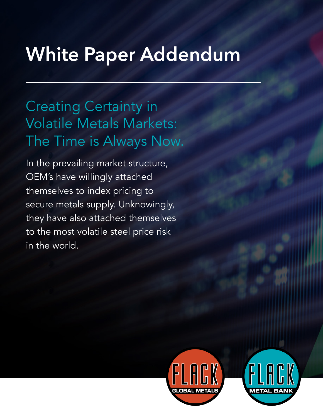# **White Paper Addendum**

# Creating Certainty in Volatile Metals Markets: The Time is Always Now.

In the prevailing market structure, OEM's have willingly attached themselves to index pricing to secure metals supply. Unknowingly, they have also attached themselves to the most volatile steel price risk in the world.



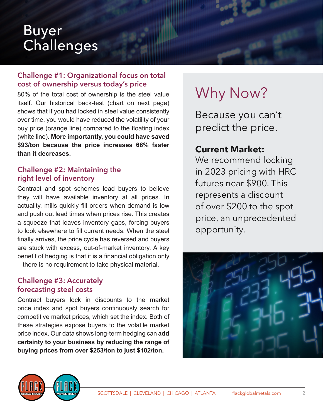### Buyer **Challenges**

#### **Challenge #1: Organizational focus on total cost of ownership versus today's price**

80% of the total cost of ownership is the steel value itself. Our historical back-test (chart on next page) shows that if you had locked in steel value consistently over time, you would have reduced the volatility of your buy price (orange line) compared to the floating index (white line). **More importantly, you could have saved \$93/ton because the price increases 66% faster than it decreases.**

#### **Challenge #2: Maintaining the right level of inventory**

Contract and spot schemes lead buyers to believe they will have available inventory at all prices. In actuality, mills quickly fill orders when demand is low and push out lead times when prices rise. This creates a squeeze that leaves inventory gaps, forcing buyers to look elsewhere to fill current needs. When the steel finally arrives, the price cycle has reversed and buyers are stuck with excess, out-of-market inventory. A key benefit of hedging is that it is a financial obligation only – there is no requirement to take physical material.

#### **Challenge #3: Accurately forecasting steel costs**

Contract buyers lock in discounts to the market price index and spot buyers continuously search for competitive market prices, which set the index. Both of these strategies expose buyers to the volatile market price index. Our data shows long-term hedging can **add certainty to your business by reducing the range of buying prices from over \$253/ton to just \$102/ton.**

# Why Now?

Because you can't predict the price.

#### **Current Market:**

We recommend locking in 2023 pricing with HRC futures near \$900. This represents a discount of over \$200 to the spot price, an unprecedented opportunity.